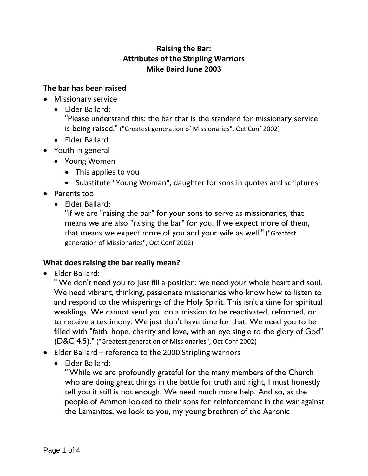## **Raising the Bar: Attributes of the Stripling Warriors Mike Baird June 2003**

## **The bar has been raised**

- Missionary service
	- Elder Ballard:

"Please understand this: the bar that is the standard for missionary service is being raised." ("Greatest generation of Missionaries", Oct Conf 2002)

- Elder Ballard
- Youth in general
	- Young Women
		- This applies to you
		- Substitute "Young Woman", daughter for sons in quotes and scriptures
- Parents too
	- Elder Ballard:

"if we are "raising the bar" for your sons to serve as missionaries, that means we are also "raising the bar" for you. If we expect more of them, that means we expect more of you and your wife as well." ("Greatest generation of Missionaries", Oct Conf 2002)

## **What does raising the bar really mean?**

• Elder Ballard:

" We don't need you to just fill a position; we need your whole heart and soul. We need vibrant, thinking, passionate missionaries who know how to listen to and respond to the whisperings of the Holy Spirit. This isn't a time for spiritual weaklings. We cannot send you on a mission to be reactivated, reformed, or to receive a testimony. We just don't have time for that. We need you to be filled with "faith, hope, charity and love, with an eye single to the glory of God" (D&C 4:5)." ("Greatest generation of Missionaries", Oct Conf 2002)

- Elder Ballard reference to the 2000 Stripling warriors
	- Elder Ballard:

" While we are profoundly grateful for the many members of the Church who are doing great things in the battle for truth and right, I must honestly tell you it still is not enough. We need much more help. And so, as the people of Ammon looked to their sons for reinforcement in the war against the Lamanites, we look to you, my young brethren of the Aaronic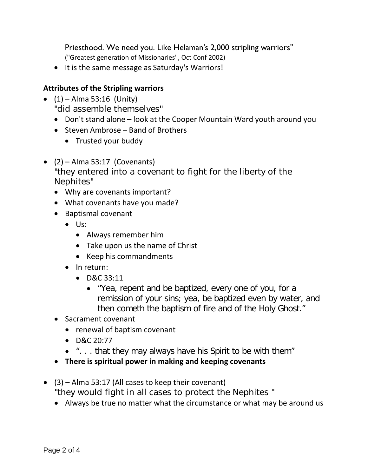Priesthood. We need you. Like Helaman's 2,000 stripling warriors" ("Greatest generation of Missionaries", Oct Conf 2002)

• It is the same message as Saturday's Warriors!

## **Attributes of the Stripling warriors**

- $(1)$  Alma 53:16 (Unity) "did assemble themselves"
	- Don't stand alone look at the Cooper Mountain Ward youth around you
	- Steven Ambrose Band of Brothers
		- Trusted your buddy
- $\bullet$  (2) Alma 53:17 (Covenants) "they entered into a covenant to fight for the liberty of the Nephites"
	- Why are covenants important?
	- What covenants have you made?
	- Baptismal covenant
		- Us:
			- Always remember him
			- Take upon us the name of Christ
			- Keep his commandments
		- In return:
			- D&C 33:11
				- "Yea, repent and be baptized, every one of you, for a remission of your sins; yea, be baptized even by water, and then cometh the baptism of fire and of the Holy Ghost."
	- Sacrament covenant
		- renewal of baptism covenant
		- D&C 20:77
		- ". . . that they may always have his Spirit to be with them"
	- **There is spiritual power in making and keeping covenants**
- (3) Alma 53:17 (All cases to keep their covenant) "they would fight in all cases to protect the Nephites "
	- Always be true no matter what the circumstance or what may be around us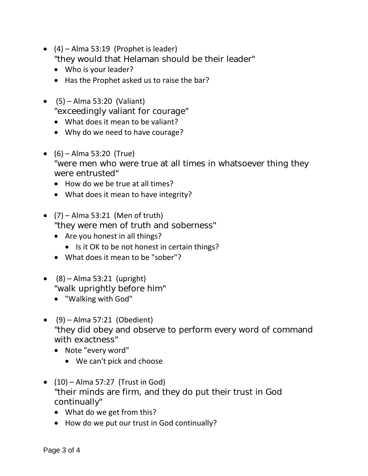- $(4)$  Alma 53:19 (Prophet is leader) "they would that Helaman should be their leader"
	- Who is your leader?
	- Has the Prophet asked us to raise the bar?
- $\bullet$  (5) Alma 53:20 (Valiant) "exceedingly valiant for courage"
	- What does it mean to be valiant?
	- Why do we need to have courage?
- $\bullet$  (6) Alma 53:20 (True) "were men who were true at all times in whatsoever thing they were entrusted"
	- How do we be true at all times?
	- What does it mean to have integrity?
- $\bullet$  (7) Alma 53:21 (Men of truth) "they were men of truth and soberness"
	- Are you honest in all things?
		- Is it OK to be not honest in certain things?
	- What does it mean to be "sober"?
- $\bullet$  (8) Alma 53:21 (upright) "walk uprightly before him"
	- "Walking with God"
- $\bullet$  (9) Alma 57:21 (Obedient) "they did obey and observe to perform every word of command with exactness"
	- Note "every word"
		- We can't pick and choose
- $\bullet$  (10) Alma 57:27 (Trust in God) "their minds are firm, and they do put their trust in God continually"
	- What do we get from this?
	- How do we put our trust in God continually?